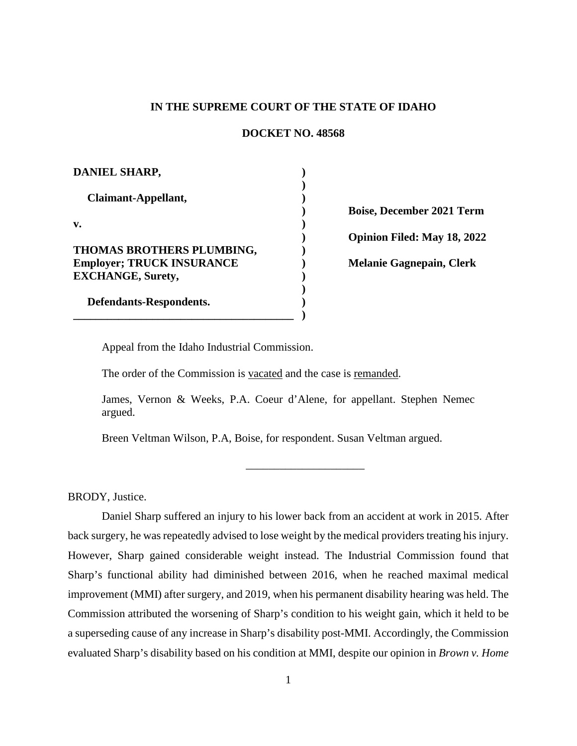### **IN THE SUPREME COURT OF THE STATE OF IDAHO**

#### **DOCKET NO. 48568**

| <b>DANIEL SHARP,</b>                                                 |  |
|----------------------------------------------------------------------|--|
| Claimant-Appellant,                                                  |  |
| v.                                                                   |  |
| <b>THOMAS BROTHERS PLUMBING,</b><br><b>Employer; TRUCK INSURANCE</b> |  |
| <b>EXCHANGE, Surety,</b>                                             |  |
| Defendants-Respondents.                                              |  |

**Boise, December 2021 Term Opinion Filed: May 18, 2022 Melanie Gagnepain, Clerk**

Appeal from the Idaho Industrial Commission.

The order of the Commission is vacated and the case is remanded.

James, Vernon & Weeks, P.A. Coeur d'Alene, for appellant. Stephen Nemec argued.

\_\_\_\_\_\_\_\_\_\_\_\_\_\_\_\_\_\_\_\_\_

Breen Veltman Wilson, P.A, Boise, for respondent. Susan Veltman argued.

BRODY, Justice.

Daniel Sharp suffered an injury to his lower back from an accident at work in 2015. After back surgery, he was repeatedly advised to lose weight by the medical providers treating his injury. However, Sharp gained considerable weight instead. The Industrial Commission found that Sharp's functional ability had diminished between 2016, when he reached maximal medical improvement (MMI) after surgery, and 2019, when his permanent disability hearing was held. The Commission attributed the worsening of Sharp's condition to his weight gain, which it held to be a superseding cause of any increase in Sharp's disability post-MMI. Accordingly, the Commission evaluated Sharp's disability based on his condition at MMI, despite our opinion in *Brown v. Home*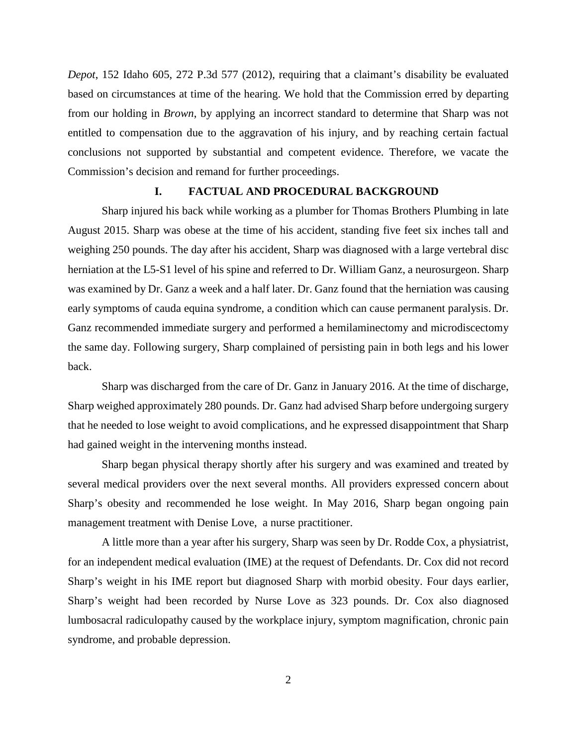*Depot*, 152 Idaho 605, 272 P.3d 577 (2012), requiring that a claimant's disability be evaluated based on circumstances at time of the hearing. We hold that the Commission erred by departing from our holding in *Brown*, by applying an incorrect standard to determine that Sharp was not entitled to compensation due to the aggravation of his injury, and by reaching certain factual conclusions not supported by substantial and competent evidence. Therefore, we vacate the Commission's decision and remand for further proceedings.

#### **I. FACTUAL AND PROCEDURAL BACKGROUND**

Sharp injured his back while working as a plumber for Thomas Brothers Plumbing in late August 2015. Sharp was obese at the time of his accident, standing five feet six inches tall and weighing 250 pounds. The day after his accident, Sharp was diagnosed with a large vertebral disc herniation at the L5-S1 level of his spine and referred to Dr. William Ganz, a neurosurgeon. Sharp was examined by Dr. Ganz a week and a half later. Dr. Ganz found that the herniation was causing early symptoms of cauda equina syndrome, a condition which can cause permanent paralysis. Dr. Ganz recommended immediate surgery and performed a hemilaminectomy and microdiscectomy the same day. Following surgery, Sharp complained of persisting pain in both legs and his lower back.

Sharp was discharged from the care of Dr. Ganz in January 2016. At the time of discharge, Sharp weighed approximately 280 pounds. Dr. Ganz had advised Sharp before undergoing surgery that he needed to lose weight to avoid complications, and he expressed disappointment that Sharp had gained weight in the intervening months instead.

Sharp began physical therapy shortly after his surgery and was examined and treated by several medical providers over the next several months. All providers expressed concern about Sharp's obesity and recommended he lose weight. In May 2016, Sharp began ongoing pain management treatment with Denise Love, a nurse practitioner.

A little more than a year after his surgery, Sharp was seen by Dr. Rodde Cox, a physiatrist, for an independent medical evaluation (IME) at the request of Defendants. Dr. Cox did not record Sharp's weight in his IME report but diagnosed Sharp with morbid obesity. Four days earlier, Sharp's weight had been recorded by Nurse Love as 323 pounds. Dr. Cox also diagnosed lumbosacral radiculopathy caused by the workplace injury, symptom magnification, chronic pain syndrome, and probable depression.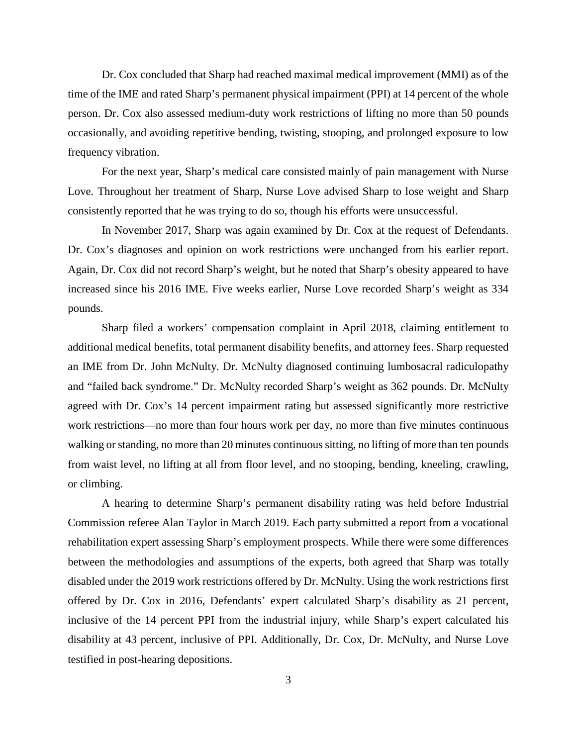Dr. Cox concluded that Sharp had reached maximal medical improvement (MMI) as of the time of the IME and rated Sharp's permanent physical impairment (PPI) at 14 percent of the whole person. Dr. Cox also assessed medium-duty work restrictions of lifting no more than 50 pounds occasionally, and avoiding repetitive bending, twisting, stooping, and prolonged exposure to low frequency vibration.

For the next year, Sharp's medical care consisted mainly of pain management with Nurse Love. Throughout her treatment of Sharp, Nurse Love advised Sharp to lose weight and Sharp consistently reported that he was trying to do so, though his efforts were unsuccessful.

In November 2017, Sharp was again examined by Dr. Cox at the request of Defendants. Dr. Cox's diagnoses and opinion on work restrictions were unchanged from his earlier report. Again, Dr. Cox did not record Sharp's weight, but he noted that Sharp's obesity appeared to have increased since his 2016 IME. Five weeks earlier, Nurse Love recorded Sharp's weight as 334 pounds.

Sharp filed a workers' compensation complaint in April 2018, claiming entitlement to additional medical benefits, total permanent disability benefits, and attorney fees. Sharp requested an IME from Dr. John McNulty. Dr. McNulty diagnosed continuing lumbosacral radiculopathy and "failed back syndrome." Dr. McNulty recorded Sharp's weight as 362 pounds. Dr. McNulty agreed with Dr. Cox's 14 percent impairment rating but assessed significantly more restrictive work restrictions—no more than four hours work per day, no more than five minutes continuous walking or standing, no more than 20 minutes continuous sitting, no lifting of more than ten pounds from waist level, no lifting at all from floor level, and no stooping, bending, kneeling, crawling, or climbing.

A hearing to determine Sharp's permanent disability rating was held before Industrial Commission referee Alan Taylor in March 2019. Each party submitted a report from a vocational rehabilitation expert assessing Sharp's employment prospects. While there were some differences between the methodologies and assumptions of the experts, both agreed that Sharp was totally disabled under the 2019 work restrictions offered by Dr. McNulty. Using the work restrictions first offered by Dr. Cox in 2016, Defendants' expert calculated Sharp's disability as 21 percent, inclusive of the 14 percent PPI from the industrial injury, while Sharp's expert calculated his disability at 43 percent, inclusive of PPI. Additionally, Dr. Cox, Dr. McNulty, and Nurse Love testified in post-hearing depositions.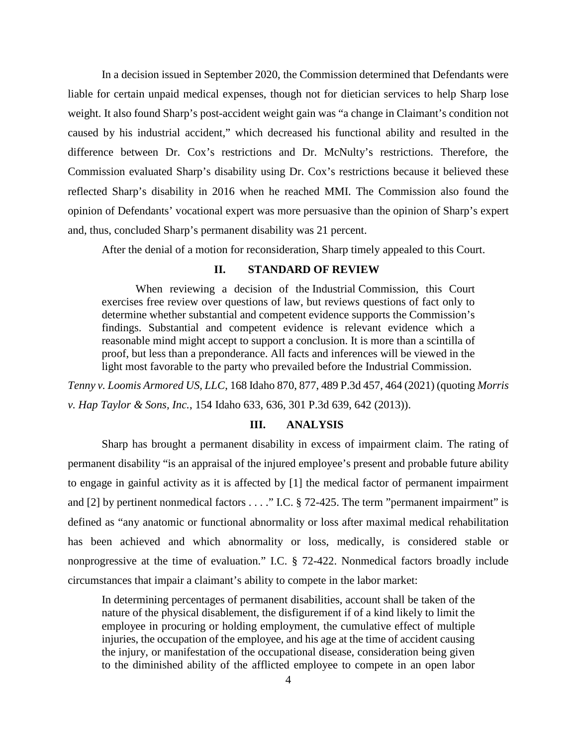In a decision issued in September 2020, the Commission determined that Defendants were liable for certain unpaid medical expenses, though not for dietician services to help Sharp lose weight. It also found Sharp's post-accident weight gain was "a change in Claimant's condition not caused by his industrial accident," which decreased his functional ability and resulted in the difference between Dr. Cox's restrictions and Dr. McNulty's restrictions. Therefore, the Commission evaluated Sharp's disability using Dr. Cox's restrictions because it believed these reflected Sharp's disability in 2016 when he reached MMI. The Commission also found the opinion of Defendants' vocational expert was more persuasive than the opinion of Sharp's expert and, thus, concluded Sharp's permanent disability was 21 percent.

After the denial of a motion for reconsideration, Sharp timely appealed to this Court.

# **II. STANDARD OF REVIEW**

When reviewing a decision of the Industrial Commission, this Court exercises free review over questions of law, but reviews questions of fact only to determine whether substantial and competent evidence supports the Commission's findings. Substantial and competent evidence is relevant evidence which a reasonable mind might accept to support a conclusion. It is more than a scintilla of proof, but less than a preponderance. All facts and inferences will be viewed in the light most favorable to the party who prevailed before the Industrial Commission.

*Tenny v. Loomis Armored US, LLC*, 168 Idaho 870, 877, 489 P.3d 457, 464 (2021) (quoting *Morris v. Hap Taylor & Sons, Inc.*, 154 Idaho 633, 636, 301 P.3d 639, 642 (2013)).

### **III. ANALYSIS**

Sharp has brought a permanent disability in excess of impairment claim. The rating of permanent disability "is an appraisal of the injured employee's present and probable future ability to engage in gainful activity as it is affected by [1] the medical factor of permanent impairment and [2] by pertinent nonmedical factors  $\dots$  ." I.C. § 72-425. The term "permanent impairment" is defined as "any anatomic or functional abnormality or loss after maximal medical rehabilitation has been achieved and which abnormality or loss, medically, is considered stable or nonprogressive at the time of evaluation." I.C. § 72-422. Nonmedical factors broadly include circumstances that impair a claimant's ability to compete in the labor market:

In determining percentages of permanent disabilities, account shall be taken of the nature of the physical disablement, the disfigurement if of a kind likely to limit the employee in procuring or holding employment, the cumulative effect of multiple injuries, the occupation of the employee, and his age at the time of accident causing the injury, or manifestation of the occupational disease, consideration being given to the diminished ability of the afflicted employee to compete in an open labor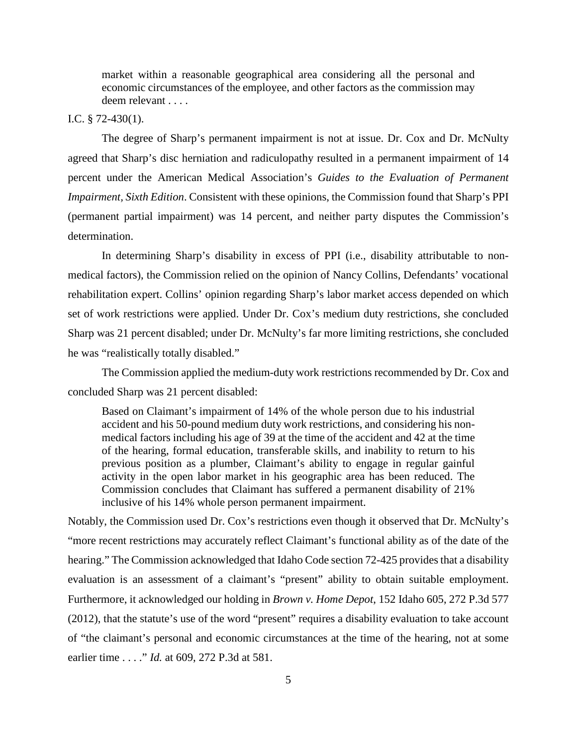market within a reasonable geographical area considering all the personal and economic circumstances of the employee, and other factors as the commission may deem relevant . . . .

## I.C. § 72-430(1).

The degree of Sharp's permanent impairment is not at issue. Dr. Cox and Dr. McNulty agreed that Sharp's disc herniation and radiculopathy resulted in a permanent impairment of 14 percent under the American Medical Association's *Guides to the Evaluation of Permanent Impairment, Sixth Edition*. Consistent with these opinions, the Commission found that Sharp's PPI (permanent partial impairment) was 14 percent, and neither party disputes the Commission's determination.

In determining Sharp's disability in excess of PPI (i.e., disability attributable to nonmedical factors), the Commission relied on the opinion of Nancy Collins, Defendants' vocational rehabilitation expert. Collins' opinion regarding Sharp's labor market access depended on which set of work restrictions were applied. Under Dr. Cox's medium duty restrictions, she concluded Sharp was 21 percent disabled; under Dr. McNulty's far more limiting restrictions, she concluded he was "realistically totally disabled."

The Commission applied the medium-duty work restrictions recommended by Dr. Cox and concluded Sharp was 21 percent disabled:

Based on Claimant's impairment of 14% of the whole person due to his industrial accident and his 50-pound medium duty work restrictions, and considering his nonmedical factors including his age of 39 at the time of the accident and 42 at the time of the hearing, formal education, transferable skills, and inability to return to his previous position as a plumber, Claimant's ability to engage in regular gainful activity in the open labor market in his geographic area has been reduced. The Commission concludes that Claimant has suffered a permanent disability of 21% inclusive of his 14% whole person permanent impairment.

Notably, the Commission used Dr. Cox's restrictions even though it observed that Dr. McNulty's "more recent restrictions may accurately reflect Claimant's functional ability as of the date of the hearing." The Commission acknowledged that Idaho Code section 72-425 provides that a disability evaluation is an assessment of a claimant's "present" ability to obtain suitable employment. Furthermore, it acknowledged our holding in *Brown v. Home Depot*, 152 Idaho 605, 272 P.3d 577 (2012), that the statute's use of the word "present" requires a disability evaluation to take account of "the claimant's personal and economic circumstances at the time of the hearing, not at some earlier time . . . ." *Id.* at 609, 272 P.3d at 581.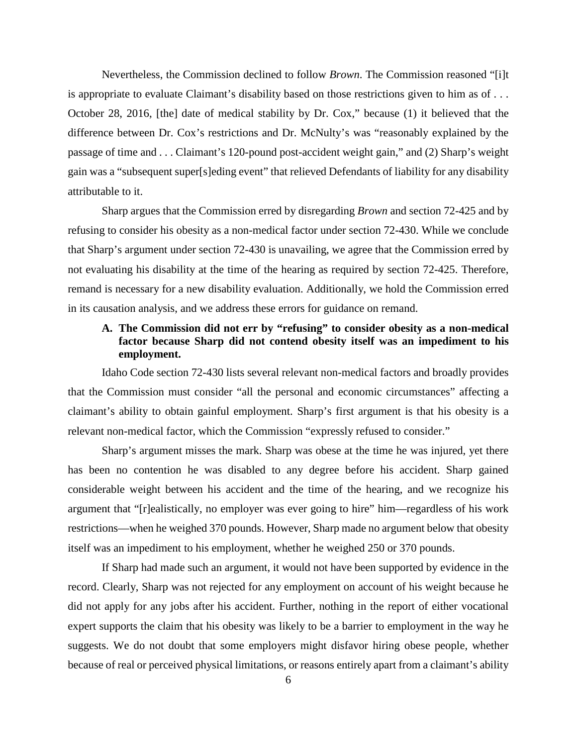Nevertheless, the Commission declined to follow *Brown*. The Commission reasoned "[i]t is appropriate to evaluate Claimant's disability based on those restrictions given to him as of . . . October 28, 2016, [the] date of medical stability by Dr. Cox," because (1) it believed that the difference between Dr. Cox's restrictions and Dr. McNulty's was "reasonably explained by the passage of time and . . . Claimant's 120-pound post-accident weight gain," and (2) Sharp's weight gain was a "subsequent super[s]eding event" that relieved Defendants of liability for any disability attributable to it.

Sharp argues that the Commission erred by disregarding *Brown* and section 72-425 and by refusing to consider his obesity as a non-medical factor under section 72-430. While we conclude that Sharp's argument under section 72-430 is unavailing, we agree that the Commission erred by not evaluating his disability at the time of the hearing as required by section 72-425. Therefore, remand is necessary for a new disability evaluation. Additionally, we hold the Commission erred in its causation analysis, and we address these errors for guidance on remand.

# **A. The Commission did not err by "refusing" to consider obesity as a non-medical factor because Sharp did not contend obesity itself was an impediment to his employment.**

Idaho Code section 72-430 lists several relevant non-medical factors and broadly provides that the Commission must consider "all the personal and economic circumstances" affecting a claimant's ability to obtain gainful employment. Sharp's first argument is that his obesity is a relevant non-medical factor, which the Commission "expressly refused to consider."

Sharp's argument misses the mark. Sharp was obese at the time he was injured, yet there has been no contention he was disabled to any degree before his accident. Sharp gained considerable weight between his accident and the time of the hearing, and we recognize his argument that "[r]ealistically, no employer was ever going to hire" him—regardless of his work restrictions—when he weighed 370 pounds. However, Sharp made no argument below that obesity itself was an impediment to his employment, whether he weighed 250 or 370 pounds.

If Sharp had made such an argument, it would not have been supported by evidence in the record. Clearly, Sharp was not rejected for any employment on account of his weight because he did not apply for any jobs after his accident. Further, nothing in the report of either vocational expert supports the claim that his obesity was likely to be a barrier to employment in the way he suggests. We do not doubt that some employers might disfavor hiring obese people, whether because of real or perceived physical limitations, or reasons entirely apart from a claimant's ability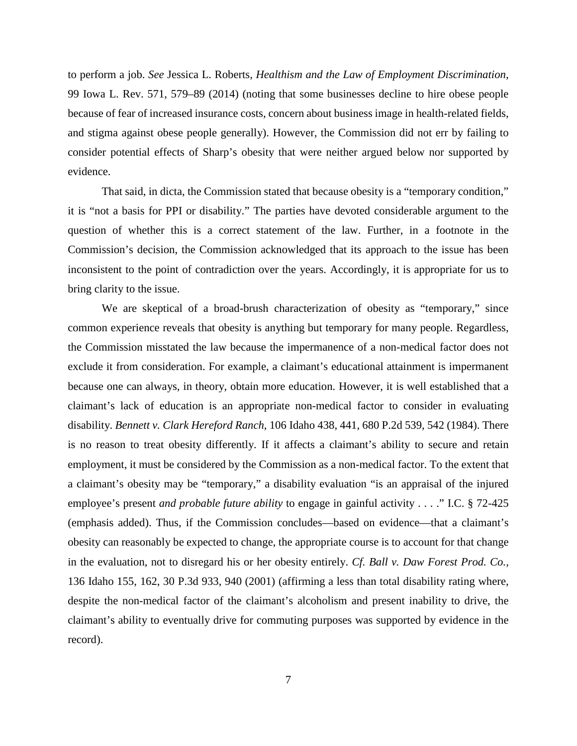to perform a job. *See* Jessica L. Roberts, *Healthism and the Law of Employment Discrimination*, 99 Iowa L. Rev. 571, 579–89 (2014) (noting that some businesses decline to hire obese people because of fear of increased insurance costs, concern about business image in health-related fields, and stigma against obese people generally). However, the Commission did not err by failing to consider potential effects of Sharp's obesity that were neither argued below nor supported by evidence.

That said, in dicta, the Commission stated that because obesity is a "temporary condition," it is "not a basis for PPI or disability." The parties have devoted considerable argument to the question of whether this is a correct statement of the law. Further, in a footnote in the Commission's decision, the Commission acknowledged that its approach to the issue has been inconsistent to the point of contradiction over the years. Accordingly, it is appropriate for us to bring clarity to the issue.

We are skeptical of a broad-brush characterization of obesity as "temporary," since common experience reveals that obesity is anything but temporary for many people. Regardless, the Commission misstated the law because the impermanence of a non-medical factor does not exclude it from consideration. For example, a claimant's educational attainment is impermanent because one can always, in theory, obtain more education. However, it is well established that a claimant's lack of education is an appropriate non-medical factor to consider in evaluating disability. *Bennett v. Clark Hereford Ranch*, 106 Idaho 438, 441, 680 P.2d 539, 542 (1984). There is no reason to treat obesity differently. If it affects a claimant's ability to secure and retain employment, it must be considered by the Commission as a non-medical factor. To the extent that a claimant's obesity may be "temporary," a disability evaluation "is an appraisal of the injured employee's present *and probable future ability* to engage in gainful activity . . . ." I.C. § 72-425 (emphasis added). Thus, if the Commission concludes—based on evidence—that a claimant's obesity can reasonably be expected to change, the appropriate course is to account for that change in the evaluation, not to disregard his or her obesity entirely. *Cf. Ball v. Daw Forest Prod. Co.*, 136 Idaho 155, 162, 30 P.3d 933, 940 (2001) (affirming a less than total disability rating where, despite the non-medical factor of the claimant's alcoholism and present inability to drive, the claimant's ability to eventually drive for commuting purposes was supported by evidence in the record).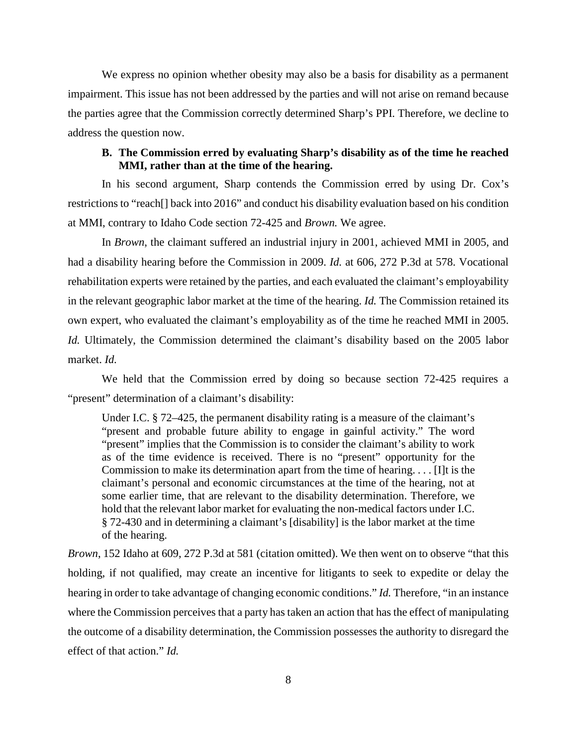We express no opinion whether obesity may also be a basis for disability as a permanent impairment. This issue has not been addressed by the parties and will not arise on remand because the parties agree that the Commission correctly determined Sharp's PPI. Therefore, we decline to address the question now.

## **B. The Commission erred by evaluating Sharp's disability as of the time he reached MMI, rather than at the time of the hearing.**

In his second argument, Sharp contends the Commission erred by using Dr. Cox's restrictions to "reach[] back into 2016" and conduct his disability evaluation based on his condition at MMI, contrary to Idaho Code section 72-425 and *Brown.* We agree.

In *Brown*, the claimant suffered an industrial injury in 2001, achieved MMI in 2005, and had a disability hearing before the Commission in 2009. *Id.* at 606, 272 P.3d at 578. Vocational rehabilitation experts were retained by the parties, and each evaluated the claimant's employability in the relevant geographic labor market at the time of the hearing. *Id.* The Commission retained its own expert, who evaluated the claimant's employability as of the time he reached MMI in 2005. *Id.* Ultimately, the Commission determined the claimant's disability based on the 2005 labor market. *Id.* 

We held that the Commission erred by doing so because section 72-425 requires a "present" determination of a claimant's disability:

Under I.C. § 72–425, the permanent disability rating is a measure of the claimant's "present and probable future ability to engage in gainful activity." The word "present" implies that the Commission is to consider the claimant's ability to work as of the time evidence is received. There is no "present" opportunity for the Commission to make its determination apart from the time of hearing. . . . [I]t is the claimant's personal and economic circumstances at the time of the hearing, not at some earlier time, that are relevant to the disability determination. Therefore, we hold that the relevant labor market for evaluating the non-medical factors under [I.C.](https://1.next.westlaw.com/Link/Document/FullText?findType=L&pubNum=1000007&cite=IDSTS72-430&originatingDoc=I03118f29686a11e18b1ac573b20fcfb7&refType=LQ&originationContext=document&transitionType=DocumentItem&ppcid=12992de2f8054f37bdf66b890db30a38&contextData=(sc.UserEnteredCitation))  [§ 72-430](https://1.next.westlaw.com/Link/Document/FullText?findType=L&pubNum=1000007&cite=IDSTS72-430&originatingDoc=I03118f29686a11e18b1ac573b20fcfb7&refType=LQ&originationContext=document&transitionType=DocumentItem&ppcid=12992de2f8054f37bdf66b890db30a38&contextData=(sc.UserEnteredCitation)) and in determining a claimant's [disability] is the labor market at the time of the hearing.

*Brown*, 152 Idaho at 609, 272 P.3d at 581 (citation omitted). We then went on to observe "that this holding, if not qualified, may create an incentive for litigants to seek to expedite or delay the hearing in order to take advantage of changing economic conditions." *Id.* Therefore, "in an instance where the Commission perceives that a party has taken an action that has the effect of manipulating the outcome of a disability determination, the Commission possesses the authority to disregard the effect of that action." *Id.*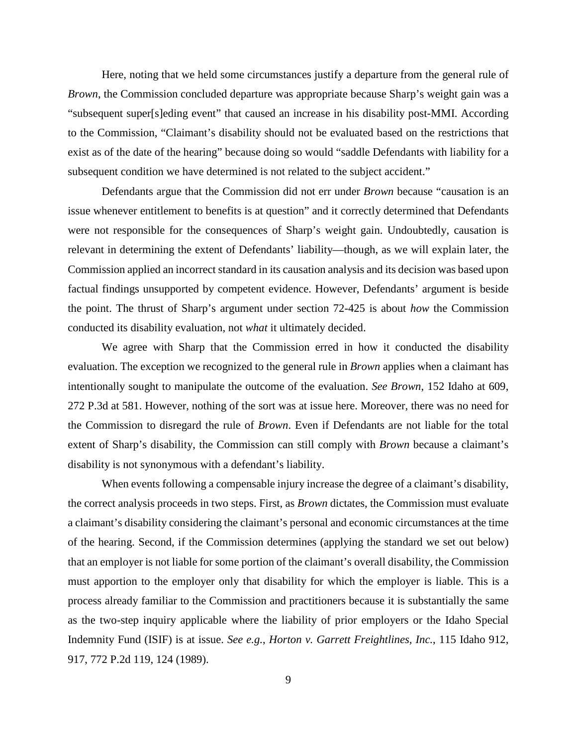Here, noting that we held some circumstances justify a departure from the general rule of *Brown*, the Commission concluded departure was appropriate because Sharp's weight gain was a "subsequent super[s]eding event" that caused an increase in his disability post-MMI. According to the Commission, "Claimant's disability should not be evaluated based on the restrictions that exist as of the date of the hearing" because doing so would "saddle Defendants with liability for a subsequent condition we have determined is not related to the subject accident."

Defendants argue that the Commission did not err under *Brown* because "causation is an issue whenever entitlement to benefits is at question" and it correctly determined that Defendants were not responsible for the consequences of Sharp's weight gain. Undoubtedly, causation is relevant in determining the extent of Defendants' liability—though, as we will explain later, the Commission applied an incorrect standard in its causation analysis and its decision was based upon factual findings unsupported by competent evidence. However, Defendants' argument is beside the point. The thrust of Sharp's argument under section 72-425 is about *how* the Commission conducted its disability evaluation, not *what* it ultimately decided.

We agree with Sharp that the Commission erred in how it conducted the disability evaluation. The exception we recognized to the general rule in *Brown* applies when a claimant has intentionally sought to manipulate the outcome of the evaluation. *See Brown*, 152 Idaho at 609, 272 P.3d at 581. However, nothing of the sort was at issue here. Moreover, there was no need for the Commission to disregard the rule of *Brown*. Even if Defendants are not liable for the total extent of Sharp's disability, the Commission can still comply with *Brown* because a claimant's disability is not synonymous with a defendant's liability.

When events following a compensable injury increase the degree of a claimant's disability, the correct analysis proceeds in two steps. First, as *Brown* dictates, the Commission must evaluate a claimant's disability considering the claimant's personal and economic circumstances at the time of the hearing. Second, if the Commission determines (applying the standard we set out below) that an employer is not liable for some portion of the claimant's overall disability, the Commission must apportion to the employer only that disability for which the employer is liable. This is a process already familiar to the Commission and practitioners because it is substantially the same as the two-step inquiry applicable where the liability of prior employers or the Idaho Special Indemnity Fund (ISIF) is at issue. *See e.g.*, *Horton v. Garrett Freightlines, Inc.*, 115 Idaho 912, 917, 772 P.2d 119, 124 (1989).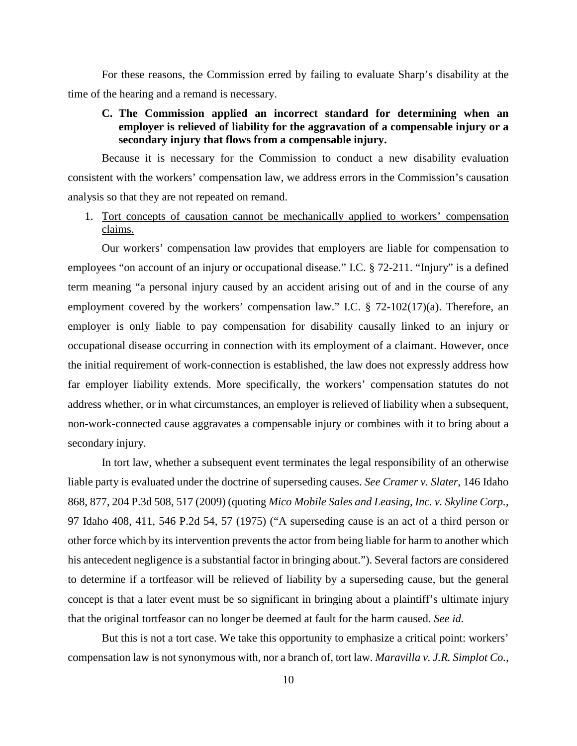For these reasons, the Commission erred by failing to evaluate Sharp's disability at the time of the hearing and a remand is necessary.

# **C. The Commission applied an incorrect standard for determining when an employer is relieved of liability for the aggravation of a compensable injury or a secondary injury that flows from a compensable injury.**

Because it is necessary for the Commission to conduct a new disability evaluation consistent with the workers' compensation law, we address errors in the Commission's causation analysis so that they are not repeated on remand.

# 1. Tort concepts of causation cannot be mechanically applied to workers' compensation claims.

Our workers' compensation law provides that employers are liable for compensation to employees "on account of an injury or occupational disease." I.C. § 72-211. "Injury" is a defined term meaning "a personal injury caused by an accident arising out of and in the course of any employment covered by the workers' compensation law." I.C. § 72-102(17)(a). Therefore, an employer is only liable to pay compensation for disability causally linked to an injury or occupational disease occurring in connection with its employment of a claimant. However, once the initial requirement of work-connection is established, the law does not expressly address how far employer liability extends. More specifically, the workers' compensation statutes do not address whether, or in what circumstances, an employer is relieved of liability when a subsequent, non-work-connected cause aggravates a compensable injury or combines with it to bring about a secondary injury.

In tort law, whether a subsequent event terminates the legal responsibility of an otherwise liable party is evaluated under the doctrine of superseding causes. *See Cramer v. Slater*, 146 Idaho 868, 877, 204 P.3d 508, 517 (2009) (quoting *Mico Mobile Sales and Leasing, Inc. v. Skyline Corp.*, 97 Idaho 408, 411, 546 P.2d 54, 57 (1975) ("A superseding cause is an act of a third person or other force which by its intervention prevents the actor from being liable for harm to another which his antecedent negligence is a substantial factor in bringing about."). Several factors are considered to determine if a tortfeasor will be relieved of liability by a superseding cause, but the general concept is that a later event must be so significant in bringing about a plaintiff's ultimate injury that the original tortfeasor can no longer be deemed at fault for the harm caused. *See id.*

But this is not a tort case. We take this opportunity to emphasize a critical point: workers' compensation law is not synonymous with, nor a branch of, tort law. *Maravilla v. J.R. Simplot Co.*,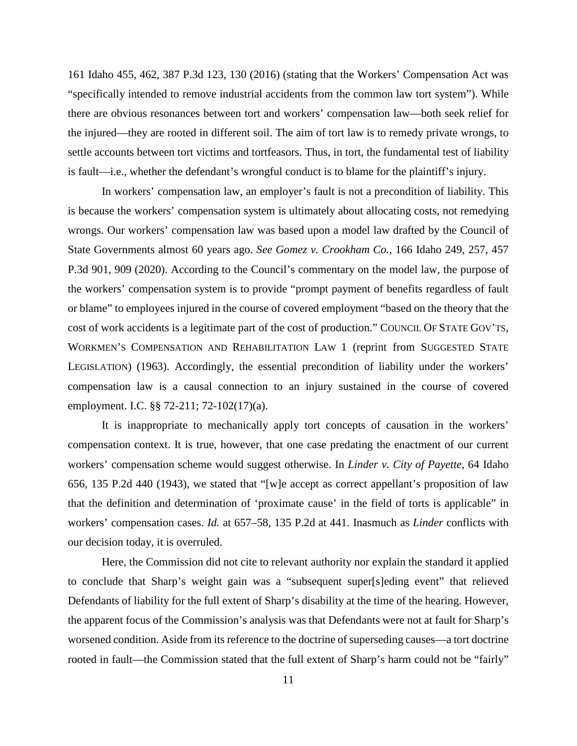161 Idaho 455, 462, 387 P.3d 123, 130 (2016) (stating that the Workers' Compensation Act was "specifically intended to remove industrial accidents from the common law tort system"). While there are obvious resonances between tort and workers' compensation law—both seek relief for the injured—they are rooted in different soil. The aim of tort law is to remedy private wrongs, to settle accounts between tort victims and tortfeasors. Thus, in tort, the fundamental test of liability is fault—i.e., whether the defendant's wrongful conduct is to blame for the plaintiff's injury.

In workers' compensation law, an employer's fault is not a precondition of liability. This is because the workers' compensation system is ultimately about allocating costs, not remedying wrongs. Our workers' compensation law was based upon a model law drafted by the Council of State Governments almost 60 years ago. *See Gomez v. Crookham Co.*, 166 Idaho 249, 257, 457 P.3d 901, 909 (2020). According to the Council's commentary on the model law, the purpose of the workers' compensation system is to provide "prompt payment of benefits regardless of fault or blame" to employees injured in the course of covered employment "based on the theory that the cost of work accidents is a legitimate part of the cost of production." COUNCIL OF STATE GOV'TS, WORKMEN'S COMPENSATION AND REHABILITATION LAW 1 (reprint from SUGGESTED STATE LEGISLATION) (1963). Accordingly, the essential precondition of liability under the workers' compensation law is a causal connection to an injury sustained in the course of covered employment. I.C. §§ 72-211; 72-102(17)(a).

It is inappropriate to mechanically apply tort concepts of causation in the workers' compensation context. It is true, however, that one case predating the enactment of our current workers' compensation scheme would suggest otherwise. In *Linder v. City of Payette*, 64 Idaho 656, 135 P.2d 440 (1943), we stated that "[w]e accept as correct appellant's proposition of law that the definition and determination of 'proximate cause' in the field of torts is applicable" in workers' compensation cases. *Id.* at 657–58, 135 P.2d at 441. Inasmuch as *Linder* conflicts with our decision today, it is overruled.

Here, the Commission did not cite to relevant authority nor explain the standard it applied to conclude that Sharp's weight gain was a "subsequent super[s]eding event" that relieved Defendants of liability for the full extent of Sharp's disability at the time of the hearing. However, the apparent focus of the Commission's analysis was that Defendants were not at fault for Sharp's worsened condition. Aside from its reference to the doctrine of superseding causes—a tort doctrine rooted in fault—the Commission stated that the full extent of Sharp's harm could not be "fairly"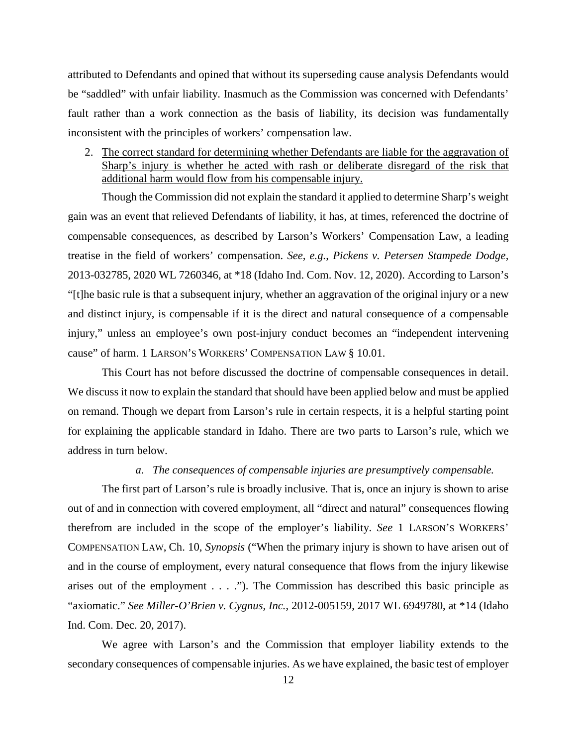attributed to Defendants and opined that without its superseding cause analysis Defendants would be "saddled" with unfair liability. Inasmuch as the Commission was concerned with Defendants' fault rather than a work connection as the basis of liability, its decision was fundamentally inconsistent with the principles of workers' compensation law.

2. The correct standard for determining whether Defendants are liable for the aggravation of Sharp's injury is whether he acted with rash or deliberate disregard of the risk that additional harm would flow from his compensable injury.

Though the Commission did not explain the standard it applied to determine Sharp's weight gain was an event that relieved Defendants of liability, it has, at times, referenced the doctrine of compensable consequences, as described by Larson's Workers' Compensation Law, a leading treatise in the field of workers' compensation. *See, e.g.*, *Pickens v. Petersen Stampede Dodge,*  2013-032785, 2020 WL 7260346, at \*18 (Idaho Ind. Com. Nov. 12, 2020). According to Larson's "[t]he basic rule is that a subsequent injury, whether an aggravation of the original injury or a new and distinct injury, is compensable if it is the direct and natural consequence of a compensable injury," unless an employee's own post-injury conduct becomes an "independent intervening cause" of harm. 1 LARSON'S WORKERS' COMPENSATION LAW § 10.01.

This Court has not before discussed the doctrine of compensable consequences in detail. We discuss it now to explain the standard that should have been applied below and must be applied on remand. Though we depart from Larson's rule in certain respects, it is a helpful starting point for explaining the applicable standard in Idaho. There are two parts to Larson's rule, which we address in turn below.

#### *a. The consequences of compensable injuries are presumptively compensable.*

The first part of Larson's rule is broadly inclusive. That is, once an injury is shown to arise out of and in connection with covered employment, all "direct and natural" consequences flowing therefrom are included in the scope of the employer's liability. *See* 1 LARSON'S WORKERS' COMPENSATION LAW, Ch. 10, *Synopsis* ("When the primary injury is shown to have arisen out of and in the course of employment, every natural consequence that flows from the injury likewise arises out of the employment . . . ."). The Commission has described this basic principle as "axiomatic." *See Miller-O'Brien v. Cygnus, Inc.*, 2012-005159, 2017 WL 6949780, at \*14 (Idaho Ind. Com. Dec. 20, 2017).

We agree with Larson's and the Commission that employer liability extends to the secondary consequences of compensable injuries. As we have explained, the basic test of employer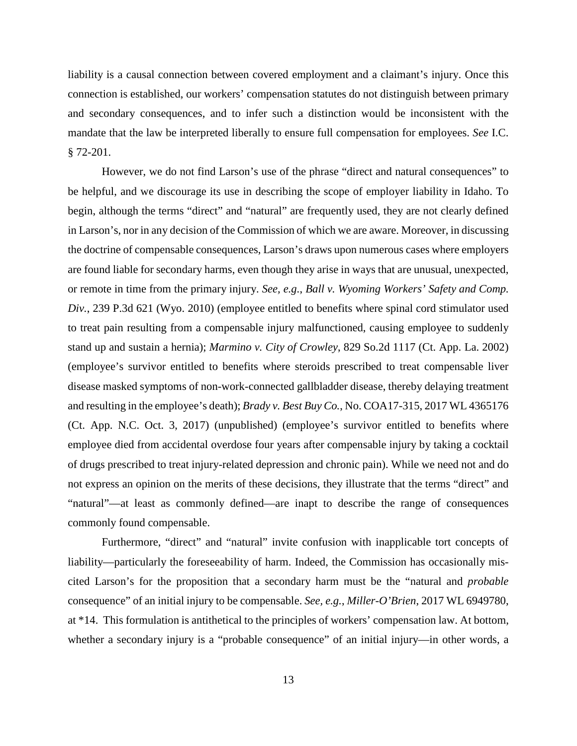liability is a causal connection between covered employment and a claimant's injury. Once this connection is established, our workers' compensation statutes do not distinguish between primary and secondary consequences, and to infer such a distinction would be inconsistent with the mandate that the law be interpreted liberally to ensure full compensation for employees. *See* I.C. § 72-201.

However, we do not find Larson's use of the phrase "direct and natural consequences" to be helpful, and we discourage its use in describing the scope of employer liability in Idaho. To begin, although the terms "direct" and "natural" are frequently used, they are not clearly defined in Larson's, nor in any decision of the Commission of which we are aware. Moreover, in discussing the doctrine of compensable consequences, Larson's draws upon numerous cases where employers are found liable for secondary harms, even though they arise in ways that are unusual, unexpected, or remote in time from the primary injury. *See, e.g.*, *Ball v. Wyoming Workers' Safety and Comp. Div.*, 239 P.3d 621 (Wyo. 2010) (employee entitled to benefits where spinal cord stimulator used to treat pain resulting from a compensable injury malfunctioned, causing employee to suddenly stand up and sustain a hernia); *Marmino v. City of Crowley*, 829 So.2d 1117 (Ct. App. La. 2002) (employee's survivor entitled to benefits where steroids prescribed to treat compensable liver disease masked symptoms of non-work-connected gallbladder disease, thereby delaying treatment and resulting in the employee's death); *Brady v. Best Buy Co.*, No. COA17-315, 2017 WL 4365176 (Ct. App. N.C. Oct. 3, 2017) (unpublished) (employee's survivor entitled to benefits where employee died from accidental overdose four years after compensable injury by taking a cocktail of drugs prescribed to treat injury-related depression and chronic pain). While we need not and do not express an opinion on the merits of these decisions, they illustrate that the terms "direct" and "natural"—at least as commonly defined—are inapt to describe the range of consequences commonly found compensable.

Furthermore, "direct" and "natural" invite confusion with inapplicable tort concepts of liability—particularly the foreseeability of harm. Indeed, the Commission has occasionally miscited Larson's for the proposition that a secondary harm must be the "natural and *probable* consequence" of an initial injury to be compensable. *See, e.g.*, *Miller-O'Brien*, 2017 WL 6949780, at \*14. This formulation is antithetical to the principles of workers' compensation law. At bottom, whether a secondary injury is a "probable consequence" of an initial injury—in other words, a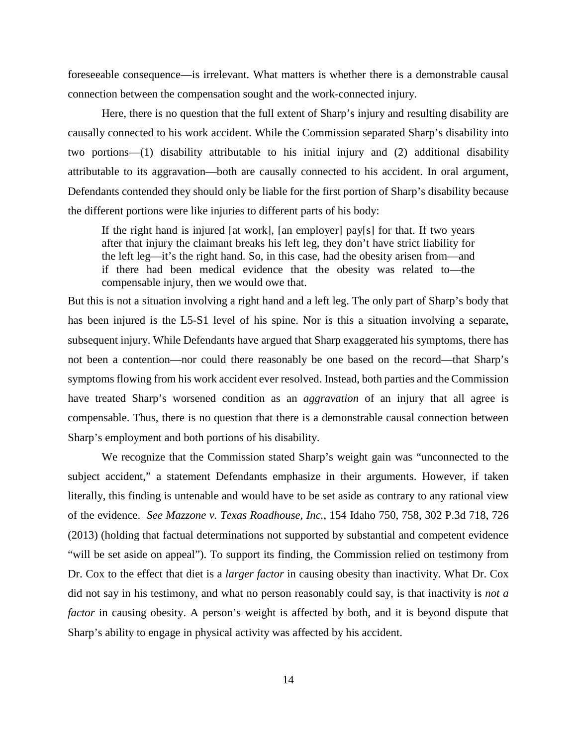foreseeable consequence—is irrelevant. What matters is whether there is a demonstrable causal connection between the compensation sought and the work-connected injury.

Here, there is no question that the full extent of Sharp's injury and resulting disability are causally connected to his work accident. While the Commission separated Sharp's disability into two portions—(1) disability attributable to his initial injury and (2) additional disability attributable to its aggravation—both are causally connected to his accident. In oral argument, Defendants contended they should only be liable for the first portion of Sharp's disability because the different portions were like injuries to different parts of his body:

If the right hand is injured [at work], [an employer] pay[s] for that. If two years after that injury the claimant breaks his left leg, they don't have strict liability for the left leg—it's the right hand. So, in this case, had the obesity arisen from—and if there had been medical evidence that the obesity was related to—the compensable injury, then we would owe that.

But this is not a situation involving a right hand and a left leg. The only part of Sharp's body that has been injured is the L5-S1 level of his spine. Nor is this a situation involving a separate, subsequent injury. While Defendants have argued that Sharp exaggerated his symptoms, there has not been a contention—nor could there reasonably be one based on the record—that Sharp's symptoms flowing from his work accident ever resolved. Instead, both parties and the Commission have treated Sharp's worsened condition as an *aggravation* of an injury that all agree is compensable. Thus, there is no question that there is a demonstrable causal connection between Sharp's employment and both portions of his disability.

We recognize that the Commission stated Sharp's weight gain was "unconnected to the subject accident," a statement Defendants emphasize in their arguments. However, if taken literally, this finding is untenable and would have to be set aside as contrary to any rational view of the evidence. *See Mazzone v. Texas Roadhouse, Inc.*, 154 Idaho 750, 758, 302 P.3d 718, 726 (2013) (holding that factual determinations not supported by substantial and competent evidence "will be set aside on appeal"). To support its finding, the Commission relied on testimony from Dr. Cox to the effect that diet is a *larger factor* in causing obesity than inactivity. What Dr. Cox did not say in his testimony, and what no person reasonably could say, is that inactivity is *not a factor* in causing obesity. A person's weight is affected by both, and it is beyond dispute that Sharp's ability to engage in physical activity was affected by his accident.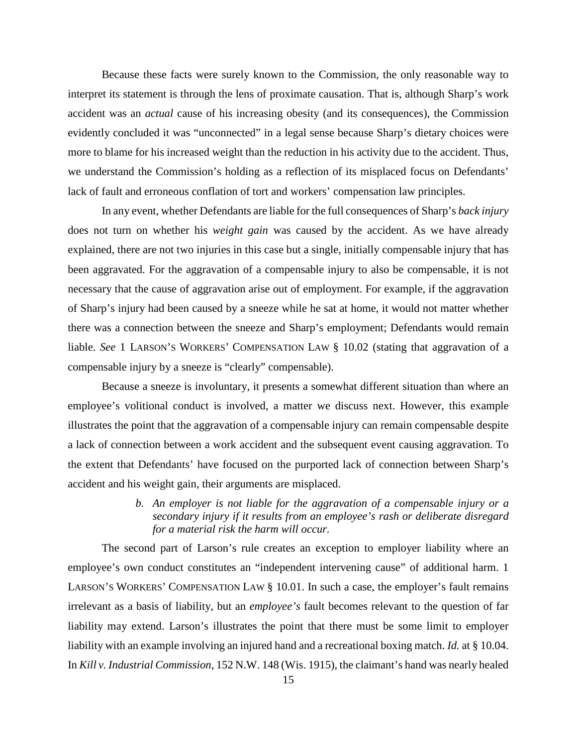Because these facts were surely known to the Commission, the only reasonable way to interpret its statement is through the lens of proximate causation. That is, although Sharp's work accident was an *actual* cause of his increasing obesity (and its consequences), the Commission evidently concluded it was "unconnected" in a legal sense because Sharp's dietary choices were more to blame for his increased weight than the reduction in his activity due to the accident. Thus, we understand the Commission's holding as a reflection of its misplaced focus on Defendants' lack of fault and erroneous conflation of tort and workers' compensation law principles.

In any event, whether Defendants are liable for the full consequences of Sharp's *back injury* does not turn on whether his *weight gain* was caused by the accident. As we have already explained, there are not two injuries in this case but a single, initially compensable injury that has been aggravated. For the aggravation of a compensable injury to also be compensable, it is not necessary that the cause of aggravation arise out of employment. For example, if the aggravation of Sharp's injury had been caused by a sneeze while he sat at home, it would not matter whether there was a connection between the sneeze and Sharp's employment; Defendants would remain liable. *See* 1 LARSON'S WORKERS' COMPENSATION LAW § 10.02 (stating that aggravation of a compensable injury by a sneeze is "clearly" compensable).

Because a sneeze is involuntary, it presents a somewhat different situation than where an employee's volitional conduct is involved, a matter we discuss next. However, this example illustrates the point that the aggravation of a compensable injury can remain compensable despite a lack of connection between a work accident and the subsequent event causing aggravation. To the extent that Defendants' have focused on the purported lack of connection between Sharp's accident and his weight gain, their arguments are misplaced.

> *b. An employer is not liable for the aggravation of a compensable injury or a secondary injury if it results from an employee's rash or deliberate disregard for a material risk the harm will occur.*

The second part of Larson's rule creates an exception to employer liability where an employee's own conduct constitutes an "independent intervening cause" of additional harm. 1 LARSON'S WORKERS' COMPENSATION LAW § 10.01. In such a case, the employer's fault remains irrelevant as a basis of liability, but an *employee's* fault becomes relevant to the question of far liability may extend. Larson's illustrates the point that there must be some limit to employer liability with an example involving an injured hand and a recreational boxing match. *Id.* at § 10.04. In *Kill v. Industrial Commission*, 152 N.W. 148 (Wis. 1915), the claimant's hand was nearly healed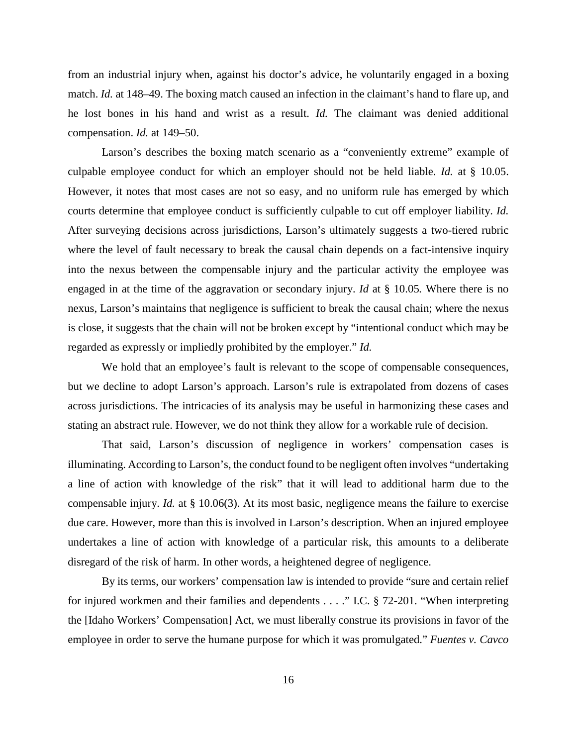from an industrial injury when, against his doctor's advice, he voluntarily engaged in a boxing match. *Id.* at 148–49. The boxing match caused an infection in the claimant's hand to flare up, and he lost bones in his hand and wrist as a result. *Id.* The claimant was denied additional compensation. *Id.* at 149–50.

Larson's describes the boxing match scenario as a "conveniently extreme" example of culpable employee conduct for which an employer should not be held liable. *Id.* at § 10.05. However, it notes that most cases are not so easy, and no uniform rule has emerged by which courts determine that employee conduct is sufficiently culpable to cut off employer liability. *Id.* After surveying decisions across jurisdictions, Larson's ultimately suggests a two-tiered rubric where the level of fault necessary to break the causal chain depends on a fact-intensive inquiry into the nexus between the compensable injury and the particular activity the employee was engaged in at the time of the aggravation or secondary injury. *Id* at § 10.05*.* Where there is no nexus, Larson's maintains that negligence is sufficient to break the causal chain; where the nexus is close, it suggests that the chain will not be broken except by "intentional conduct which may be regarded as expressly or impliedly prohibited by the employer." *Id.*

We hold that an employee's fault is relevant to the scope of compensable consequences, but we decline to adopt Larson's approach. Larson's rule is extrapolated from dozens of cases across jurisdictions. The intricacies of its analysis may be useful in harmonizing these cases and stating an abstract rule. However, we do not think they allow for a workable rule of decision.

That said, Larson's discussion of negligence in workers' compensation cases is illuminating. According to Larson's, the conduct found to be negligent often involves "undertaking a line of action with knowledge of the risk" that it will lead to additional harm due to the compensable injury. *Id.* at § 10.06(3). At its most basic, negligence means the failure to exercise due care. However, more than this is involved in Larson's description. When an injured employee undertakes a line of action with knowledge of a particular risk, this amounts to a deliberate disregard of the risk of harm. In other words, a heightened degree of negligence.

By its terms, our workers' compensation law is intended to provide "sure and certain relief for injured workmen and their families and dependents . . . ." I.C. § 72-201. "When interpreting the [Idaho Workers' Compensation] Act, we must liberally construe its provisions in favor of the employee in order to serve the humane purpose for which it was promulgated." *Fuentes v. Cavco*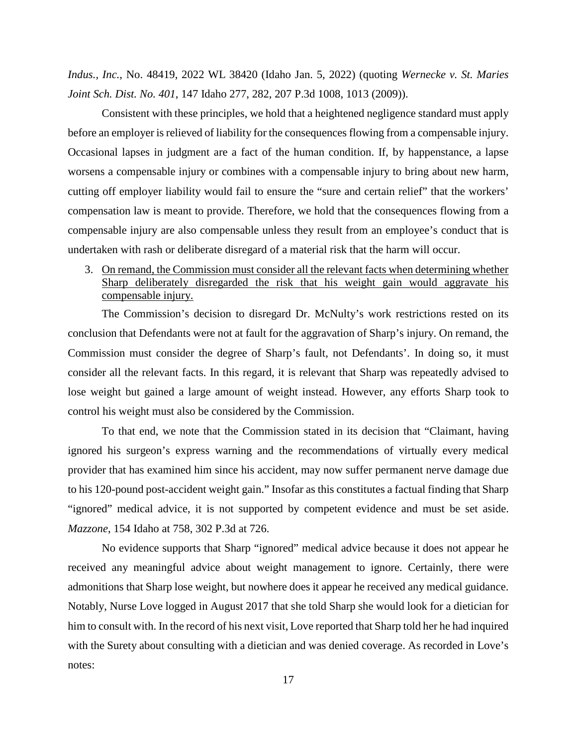*Indus., Inc.*, No. 48419, 2022 WL 38420 (Idaho Jan. 5, 2022) (quoting *Wernecke v. St. Maries Joint Sch. Dist. No. 401*, 147 Idaho 277, 282, 207 P.3d 1008, 1013 (2009)).

Consistent with these principles, we hold that a heightened negligence standard must apply before an employer is relieved of liability for the consequences flowing from a compensable injury. Occasional lapses in judgment are a fact of the human condition. If, by happenstance, a lapse worsens a compensable injury or combines with a compensable injury to bring about new harm, cutting off employer liability would fail to ensure the "sure and certain relief" that the workers' compensation law is meant to provide. Therefore, we hold that the consequences flowing from a compensable injury are also compensable unless they result from an employee's conduct that is undertaken with rash or deliberate disregard of a material risk that the harm will occur.

3. On remand, the Commission must consider all the relevant facts when determining whether Sharp deliberately disregarded the risk that his weight gain would aggravate his compensable injury.

The Commission's decision to disregard Dr. McNulty's work restrictions rested on its conclusion that Defendants were not at fault for the aggravation of Sharp's injury. On remand, the Commission must consider the degree of Sharp's fault, not Defendants'. In doing so, it must consider all the relevant facts. In this regard, it is relevant that Sharp was repeatedly advised to lose weight but gained a large amount of weight instead. However, any efforts Sharp took to control his weight must also be considered by the Commission.

To that end, we note that the Commission stated in its decision that "Claimant, having ignored his surgeon's express warning and the recommendations of virtually every medical provider that has examined him since his accident, may now suffer permanent nerve damage due to his 120-pound post-accident weight gain." Insofar as this constitutes a factual finding that Sharp "ignored" medical advice, it is not supported by competent evidence and must be set aside. *Mazzone*, 154 Idaho at 758, 302 P.3d at 726.

No evidence supports that Sharp "ignored" medical advice because it does not appear he received any meaningful advice about weight management to ignore. Certainly, there were admonitions that Sharp lose weight, but nowhere does it appear he received any medical guidance. Notably, Nurse Love logged in August 2017 that she told Sharp she would look for a dietician for him to consult with. In the record of his next visit, Love reported that Sharp told her he had inquired with the Surety about consulting with a dietician and was denied coverage. As recorded in Love's notes: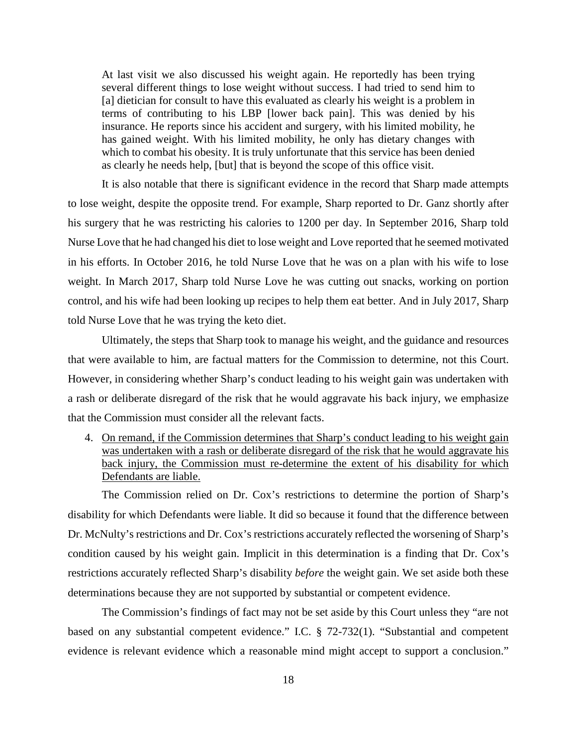At last visit we also discussed his weight again. He reportedly has been trying several different things to lose weight without success. I had tried to send him to [a] dietician for consult to have this evaluated as clearly his weight is a problem in terms of contributing to his LBP [lower back pain]. This was denied by his insurance. He reports since his accident and surgery, with his limited mobility, he has gained weight. With his limited mobility, he only has dietary changes with which to combat his obesity. It is truly unfortunate that this service has been denied as clearly he needs help, [but] that is beyond the scope of this office visit.

It is also notable that there is significant evidence in the record that Sharp made attempts to lose weight, despite the opposite trend. For example, Sharp reported to Dr. Ganz shortly after his surgery that he was restricting his calories to 1200 per day. In September 2016, Sharp told Nurse Love that he had changed his diet to lose weight and Love reported that he seemed motivated in his efforts. In October 2016, he told Nurse Love that he was on a plan with his wife to lose weight. In March 2017, Sharp told Nurse Love he was cutting out snacks, working on portion control, and his wife had been looking up recipes to help them eat better. And in July 2017, Sharp told Nurse Love that he was trying the keto diet.

Ultimately, the steps that Sharp took to manage his weight, and the guidance and resources that were available to him, are factual matters for the Commission to determine, not this Court. However, in considering whether Sharp's conduct leading to his weight gain was undertaken with a rash or deliberate disregard of the risk that he would aggravate his back injury, we emphasize that the Commission must consider all the relevant facts.

4. On remand, if the Commission determines that Sharp's conduct leading to his weight gain was undertaken with a rash or deliberate disregard of the risk that he would aggravate his back injury, the Commission must re-determine the extent of his disability for which Defendants are liable.

The Commission relied on Dr. Cox's restrictions to determine the portion of Sharp's disability for which Defendants were liable. It did so because it found that the difference between Dr. McNulty's restrictions and Dr. Cox's restrictions accurately reflected the worsening of Sharp's condition caused by his weight gain. Implicit in this determination is a finding that Dr. Cox's restrictions accurately reflected Sharp's disability *before* the weight gain. We set aside both these determinations because they are not supported by substantial or competent evidence.

The Commission's findings of fact may not be set aside by this Court unless they "are not based on any substantial competent evidence." I.C. § 72-732(1). "Substantial and competent evidence is relevant evidence which a reasonable mind might accept to support a conclusion."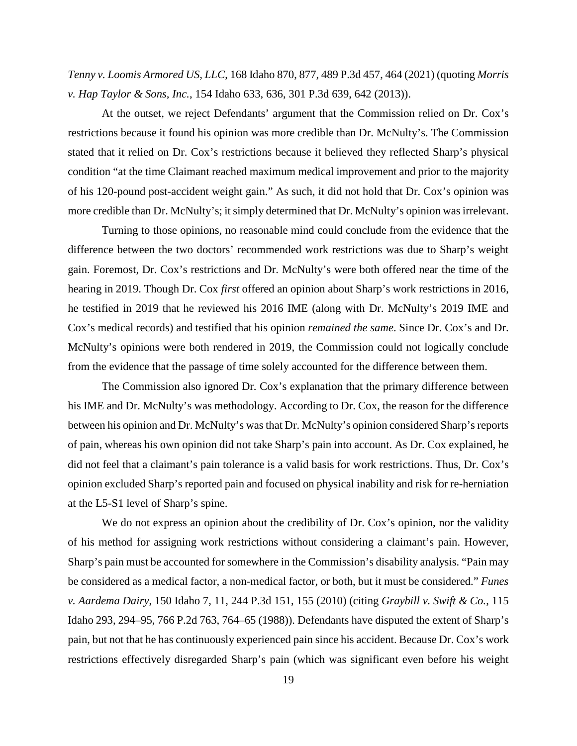*Tenny v. Loomis Armored US, LLC*, 168 Idaho 870, 877, 489 P.3d 457, 464 (2021) (quoting *Morris v. Hap Taylor & Sons, Inc.*, 154 Idaho 633, 636, 301 P.3d 639, 642 (2013)).

At the outset, we reject Defendants' argument that the Commission relied on Dr. Cox's restrictions because it found his opinion was more credible than Dr. McNulty's. The Commission stated that it relied on Dr. Cox's restrictions because it believed they reflected Sharp's physical condition "at the time Claimant reached maximum medical improvement and prior to the majority of his 120-pound post-accident weight gain." As such, it did not hold that Dr. Cox's opinion was more credible than Dr. McNulty's; it simply determined that Dr. McNulty's opinion was irrelevant.

Turning to those opinions, no reasonable mind could conclude from the evidence that the difference between the two doctors' recommended work restrictions was due to Sharp's weight gain. Foremost, Dr. Cox's restrictions and Dr. McNulty's were both offered near the time of the hearing in 2019. Though Dr. Cox *first* offered an opinion about Sharp's work restrictions in 2016, he testified in 2019 that he reviewed his 2016 IME (along with Dr. McNulty's 2019 IME and Cox's medical records) and testified that his opinion *remained the same*. Since Dr. Cox's and Dr. McNulty's opinions were both rendered in 2019, the Commission could not logically conclude from the evidence that the passage of time solely accounted for the difference between them.

The Commission also ignored Dr. Cox's explanation that the primary difference between his IME and Dr. McNulty's was methodology. According to Dr. Cox, the reason for the difference between his opinion and Dr. McNulty's was that Dr. McNulty's opinion considered Sharp's reports of pain, whereas his own opinion did not take Sharp's pain into account. As Dr. Cox explained, he did not feel that a claimant's pain tolerance is a valid basis for work restrictions. Thus, Dr. Cox's opinion excluded Sharp's reported pain and focused on physical inability and risk for re-herniation at the L5-S1 level of Sharp's spine.

We do not express an opinion about the credibility of Dr. Cox's opinion, nor the validity of his method for assigning work restrictions without considering a claimant's pain. However, Sharp's pain must be accounted for somewhere in the Commission's disability analysis. "Pain may be considered as a medical factor, a non-medical factor, or both, but it must be considered." *Funes v. Aardema Dairy*, 150 Idaho 7, 11, 244 P.3d 151, 155 (2010) (citing *Graybill v. Swift & Co.*, 115 Idaho 293, 294–95, 766 P.2d 763, 764–65 (1988)). Defendants have disputed the extent of Sharp's pain, but not that he has continuously experienced pain since his accident. Because Dr. Cox's work restrictions effectively disregarded Sharp's pain (which was significant even before his weight